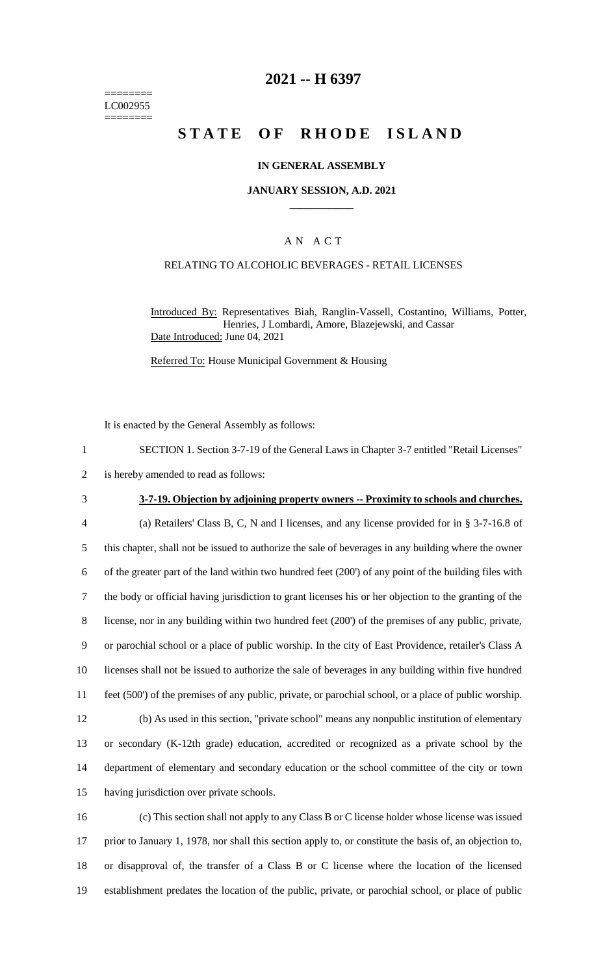======== LC002955 ========

### **2021 -- H 6397**

# **STATE OF RHODE ISLAND**

#### **IN GENERAL ASSEMBLY**

#### **JANUARY SESSION, A.D. 2021 \_\_\_\_\_\_\_\_\_\_\_\_**

### A N A C T

### RELATING TO ALCOHOLIC BEVERAGES - RETAIL LICENSES

Introduced By: Representatives Biah, Ranglin-Vassell, Costantino, Williams, Potter, Henries, J Lombardi, Amore, Blazejewski, and Cassar Date Introduced: June 04, 2021

Referred To: House Municipal Government & Housing

It is enacted by the General Assembly as follows:

2 is hereby amended to read as follows:

#### 3 **3-7-19. Objection by adjoining property owners -- Proximity to schools and churches.**

 (a) Retailers' Class B, C, N and I licenses, and any license provided for in § 3-7-16.8 of this chapter, shall not be issued to authorize the sale of beverages in any building where the owner of the greater part of the land within two hundred feet (200') of any point of the building files with the body or official having jurisdiction to grant licenses his or her objection to the granting of the license, nor in any building within two hundred feet (200') of the premises of any public, private, or parochial school or a place of public worship. In the city of East Providence, retailer's Class A licenses shall not be issued to authorize the sale of beverages in any building within five hundred feet (500') of the premises of any public, private, or parochial school, or a place of public worship. (b) As used in this section, "private school" means any nonpublic institution of elementary or secondary (K-12th grade) education, accredited or recognized as a private school by the department of elementary and secondary education or the school committee of the city or town

15 having jurisdiction over private schools.

 (c) This section shall not apply to any Class B or C license holder whose license was issued prior to January 1, 1978, nor shall this section apply to, or constitute the basis of, an objection to, or disapproval of, the transfer of a Class B or C license where the location of the licensed establishment predates the location of the public, private, or parochial school, or place of public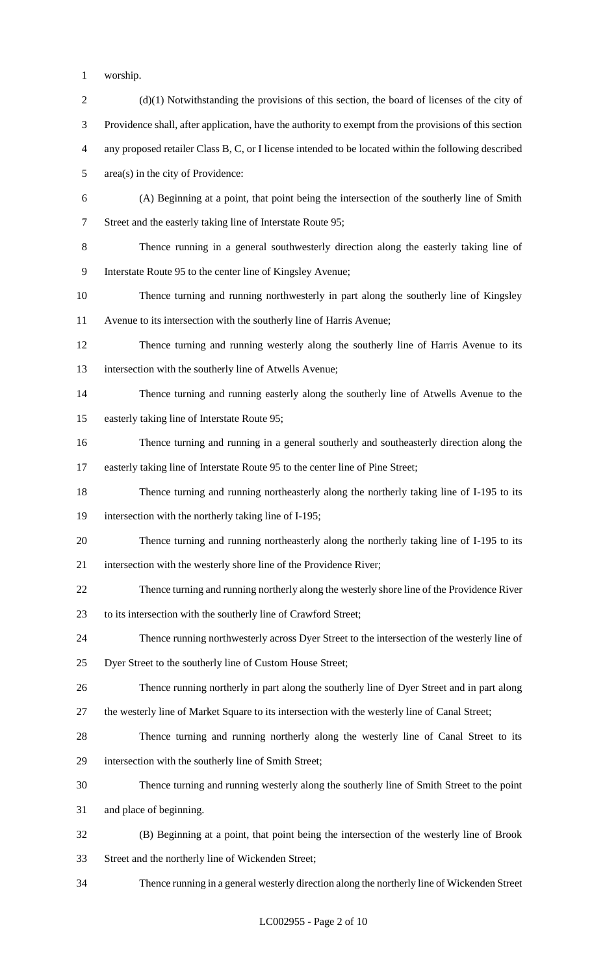- worship.
- 2 (d)(1) Notwithstanding the provisions of this section, the board of licenses of the city of Providence shall, after application, have the authority to exempt from the provisions of this section any proposed retailer Class B, C, or I license intended to be located within the following described area(s) in the city of Providence: (A) Beginning at a point, that point being the intersection of the southerly line of Smith Street and the easterly taking line of Interstate Route 95; Thence running in a general southwesterly direction along the easterly taking line of Interstate Route 95 to the center line of Kingsley Avenue; Thence turning and running northwesterly in part along the southerly line of Kingsley Avenue to its intersection with the southerly line of Harris Avenue; Thence turning and running westerly along the southerly line of Harris Avenue to its intersection with the southerly line of Atwells Avenue; Thence turning and running easterly along the southerly line of Atwells Avenue to the easterly taking line of Interstate Route 95; Thence turning and running in a general southerly and southeasterly direction along the easterly taking line of Interstate Route 95 to the center line of Pine Street; Thence turning and running northeasterly along the northerly taking line of I-195 to its intersection with the northerly taking line of I-195; Thence turning and running northeasterly along the northerly taking line of I-195 to its intersection with the westerly shore line of the Providence River; Thence turning and running northerly along the westerly shore line of the Providence River to its intersection with the southerly line of Crawford Street; Thence running northwesterly across Dyer Street to the intersection of the westerly line of Dyer Street to the southerly line of Custom House Street; Thence running northerly in part along the southerly line of Dyer Street and in part along the westerly line of Market Square to its intersection with the westerly line of Canal Street; Thence turning and running northerly along the westerly line of Canal Street to its intersection with the southerly line of Smith Street; Thence turning and running westerly along the southerly line of Smith Street to the point and place of beginning. (B) Beginning at a point, that point being the intersection of the westerly line of Brook Street and the northerly line of Wickenden Street; Thence running in a general westerly direction along the northerly line of Wickenden Street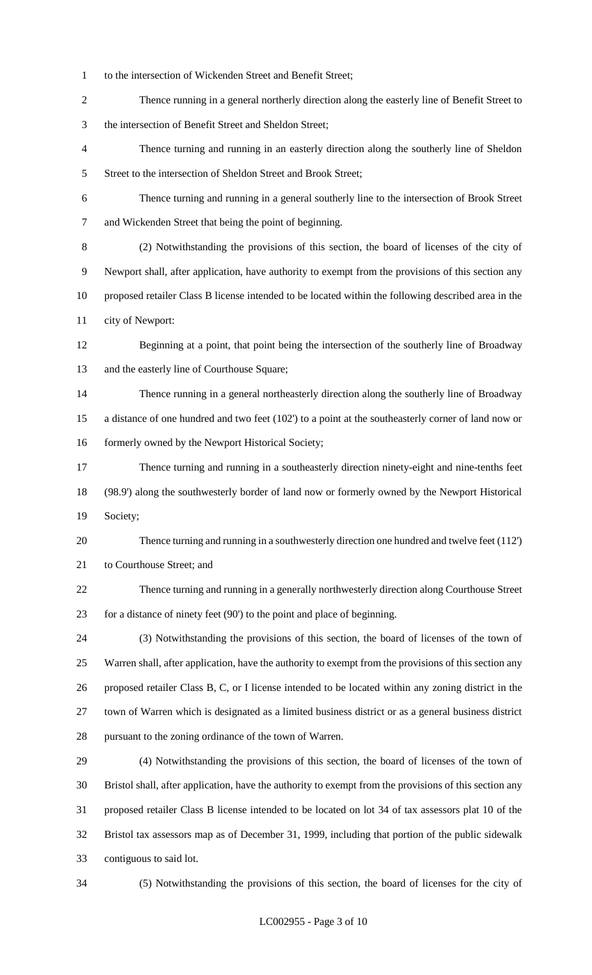- to the intersection of Wickenden Street and Benefit Street;
- Thence running in a general northerly direction along the easterly line of Benefit Street to the intersection of Benefit Street and Sheldon Street;
- Thence turning and running in an easterly direction along the southerly line of Sheldon 5 Street to the intersection of Sheldon Street and Brook Street;
- Thence turning and running in a general southerly line to the intersection of Brook Street and Wickenden Street that being the point of beginning.
- (2) Notwithstanding the provisions of this section, the board of licenses of the city of Newport shall, after application, have authority to exempt from the provisions of this section any proposed retailer Class B license intended to be located within the following described area in the city of Newport:
- Beginning at a point, that point being the intersection of the southerly line of Broadway and the easterly line of Courthouse Square;
- Thence running in a general northeasterly direction along the southerly line of Broadway a distance of one hundred and two feet (102') to a point at the southeasterly corner of land now or 16 formerly owned by the Newport Historical Society;
- Thence turning and running in a southeasterly direction ninety-eight and nine-tenths feet (98.9') along the southwesterly border of land now or formerly owned by the Newport Historical Society;
- Thence turning and running in a southwesterly direction one hundred and twelve feet (112') to Courthouse Street; and
- Thence turning and running in a generally northwesterly direction along Courthouse Street for a distance of ninety feet (90') to the point and place of beginning.
- (3) Notwithstanding the provisions of this section, the board of licenses of the town of Warren shall, after application, have the authority to exempt from the provisions of this section any proposed retailer Class B, C, or I license intended to be located within any zoning district in the town of Warren which is designated as a limited business district or as a general business district pursuant to the zoning ordinance of the town of Warren.
- (4) Notwithstanding the provisions of this section, the board of licenses of the town of Bristol shall, after application, have the authority to exempt from the provisions of this section any proposed retailer Class B license intended to be located on lot 34 of tax assessors plat 10 of the Bristol tax assessors map as of December 31, 1999, including that portion of the public sidewalk contiguous to said lot.
- 

(5) Notwithstanding the provisions of this section, the board of licenses for the city of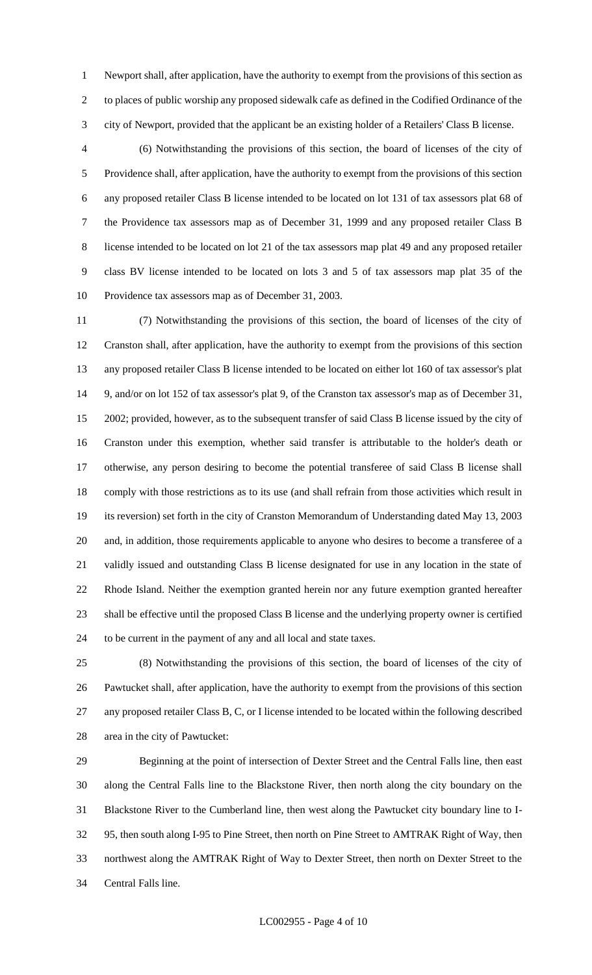Newport shall, after application, have the authority to exempt from the provisions of this section as to places of public worship any proposed sidewalk cafe as defined in the Codified Ordinance of the city of Newport, provided that the applicant be an existing holder of a Retailers' Class B license.

 (6) Notwithstanding the provisions of this section, the board of licenses of the city of Providence shall, after application, have the authority to exempt from the provisions of this section any proposed retailer Class B license intended to be located on lot 131 of tax assessors plat 68 of the Providence tax assessors map as of December 31, 1999 and any proposed retailer Class B license intended to be located on lot 21 of the tax assessors map plat 49 and any proposed retailer class BV license intended to be located on lots 3 and 5 of tax assessors map plat 35 of the Providence tax assessors map as of December 31, 2003.

 (7) Notwithstanding the provisions of this section, the board of licenses of the city of Cranston shall, after application, have the authority to exempt from the provisions of this section any proposed retailer Class B license intended to be located on either lot 160 of tax assessor's plat 9, and/or on lot 152 of tax assessor's plat 9, of the Cranston tax assessor's map as of December 31, 2002; provided, however, as to the subsequent transfer of said Class B license issued by the city of Cranston under this exemption, whether said transfer is attributable to the holder's death or otherwise, any person desiring to become the potential transferee of said Class B license shall comply with those restrictions as to its use (and shall refrain from those activities which result in its reversion) set forth in the city of Cranston Memorandum of Understanding dated May 13, 2003 and, in addition, those requirements applicable to anyone who desires to become a transferee of a validly issued and outstanding Class B license designated for use in any location in the state of Rhode Island. Neither the exemption granted herein nor any future exemption granted hereafter shall be effective until the proposed Class B license and the underlying property owner is certified to be current in the payment of any and all local and state taxes.

 (8) Notwithstanding the provisions of this section, the board of licenses of the city of Pawtucket shall, after application, have the authority to exempt from the provisions of this section any proposed retailer Class B, C, or I license intended to be located within the following described area in the city of Pawtucket:

 Beginning at the point of intersection of Dexter Street and the Central Falls line, then east along the Central Falls line to the Blackstone River, then north along the city boundary on the Blackstone River to the Cumberland line, then west along the Pawtucket city boundary line to I- 95, then south along I-95 to Pine Street, then north on Pine Street to AMTRAK Right of Way, then northwest along the AMTRAK Right of Way to Dexter Street, then north on Dexter Street to the Central Falls line.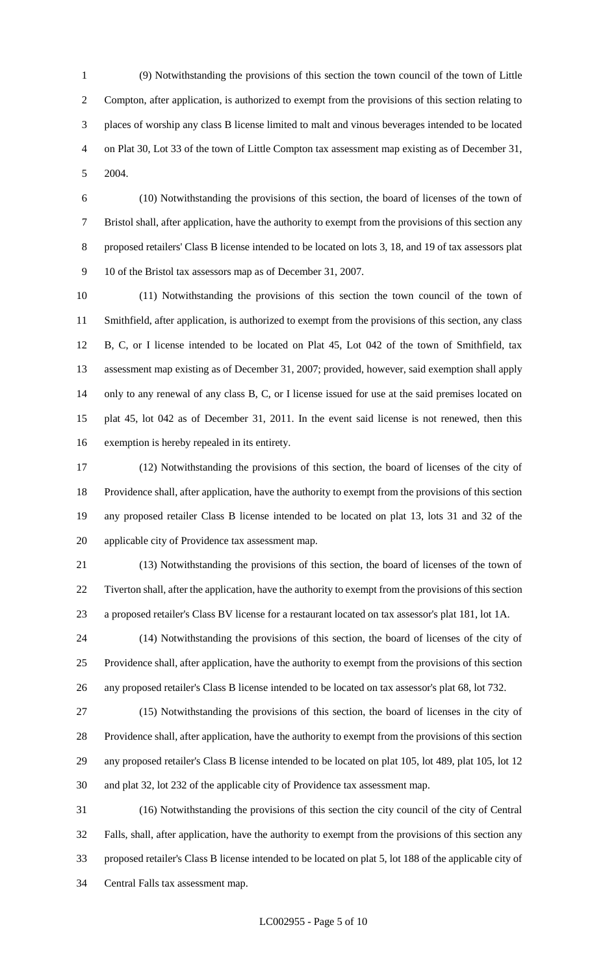(9) Notwithstanding the provisions of this section the town council of the town of Little Compton, after application, is authorized to exempt from the provisions of this section relating to places of worship any class B license limited to malt and vinous beverages intended to be located on Plat 30, Lot 33 of the town of Little Compton tax assessment map existing as of December 31, 2004.

 (10) Notwithstanding the provisions of this section, the board of licenses of the town of Bristol shall, after application, have the authority to exempt from the provisions of this section any proposed retailers' Class B license intended to be located on lots 3, 18, and 19 of tax assessors plat 10 of the Bristol tax assessors map as of December 31, 2007.

 (11) Notwithstanding the provisions of this section the town council of the town of Smithfield, after application, is authorized to exempt from the provisions of this section, any class B, C, or I license intended to be located on Plat 45, Lot 042 of the town of Smithfield, tax assessment map existing as of December 31, 2007; provided, however, said exemption shall apply only to any renewal of any class B, C, or I license issued for use at the said premises located on plat 45, lot 042 as of December 31, 2011. In the event said license is not renewed, then this exemption is hereby repealed in its entirety.

 (12) Notwithstanding the provisions of this section, the board of licenses of the city of Providence shall, after application, have the authority to exempt from the provisions of this section any proposed retailer Class B license intended to be located on plat 13, lots 31 and 32 of the applicable city of Providence tax assessment map.

 (13) Notwithstanding the provisions of this section, the board of licenses of the town of Tiverton shall, after the application, have the authority to exempt from the provisions of this section a proposed retailer's Class BV license for a restaurant located on tax assessor's plat 181, lot 1A.

 (14) Notwithstanding the provisions of this section, the board of licenses of the city of Providence shall, after application, have the authority to exempt from the provisions of this section any proposed retailer's Class B license intended to be located on tax assessor's plat 68, lot 732.

 (15) Notwithstanding the provisions of this section, the board of licenses in the city of Providence shall, after application, have the authority to exempt from the provisions of this section any proposed retailer's Class B license intended to be located on plat 105, lot 489, plat 105, lot 12 and plat 32, lot 232 of the applicable city of Providence tax assessment map.

 (16) Notwithstanding the provisions of this section the city council of the city of Central Falls, shall, after application, have the authority to exempt from the provisions of this section any proposed retailer's Class B license intended to be located on plat 5, lot 188 of the applicable city of Central Falls tax assessment map.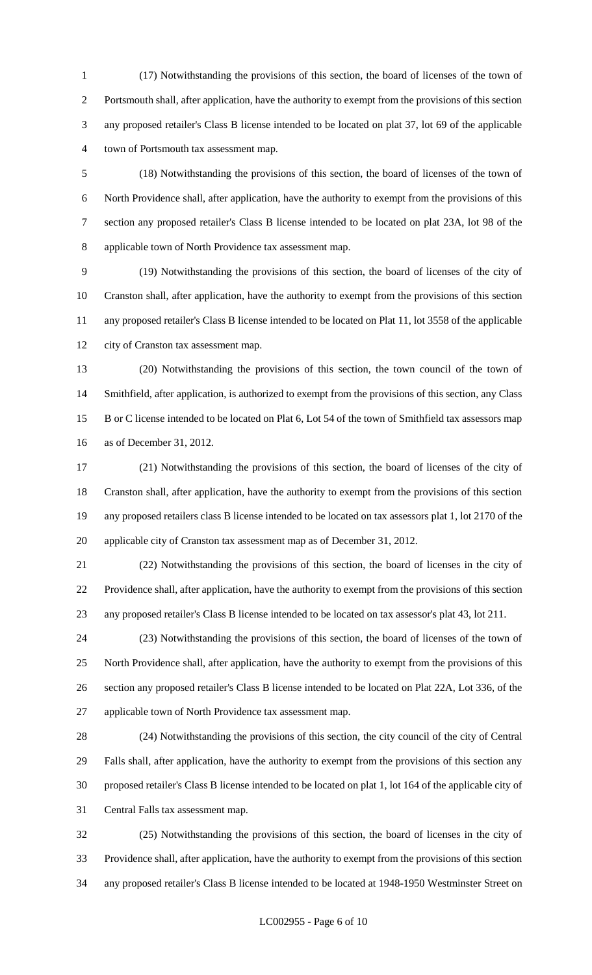(17) Notwithstanding the provisions of this section, the board of licenses of the town of Portsmouth shall, after application, have the authority to exempt from the provisions of this section any proposed retailer's Class B license intended to be located on plat 37, lot 69 of the applicable town of Portsmouth tax assessment map.

 (18) Notwithstanding the provisions of this section, the board of licenses of the town of North Providence shall, after application, have the authority to exempt from the provisions of this section any proposed retailer's Class B license intended to be located on plat 23A, lot 98 of the applicable town of North Providence tax assessment map.

 (19) Notwithstanding the provisions of this section, the board of licenses of the city of Cranston shall, after application, have the authority to exempt from the provisions of this section any proposed retailer's Class B license intended to be located on Plat 11, lot 3558 of the applicable city of Cranston tax assessment map.

 (20) Notwithstanding the provisions of this section, the town council of the town of Smithfield, after application, is authorized to exempt from the provisions of this section, any Class B or C license intended to be located on Plat 6, Lot 54 of the town of Smithfield tax assessors map as of December 31, 2012.

 (21) Notwithstanding the provisions of this section, the board of licenses of the city of Cranston shall, after application, have the authority to exempt from the provisions of this section any proposed retailers class B license intended to be located on tax assessors plat 1, lot 2170 of the applicable city of Cranston tax assessment map as of December 31, 2012.

 (22) Notwithstanding the provisions of this section, the board of licenses in the city of Providence shall, after application, have the authority to exempt from the provisions of this section any proposed retailer's Class B license intended to be located on tax assessor's plat 43, lot 211.

 (23) Notwithstanding the provisions of this section, the board of licenses of the town of North Providence shall, after application, have the authority to exempt from the provisions of this section any proposed retailer's Class B license intended to be located on Plat 22A, Lot 336, of the applicable town of North Providence tax assessment map.

 (24) Notwithstanding the provisions of this section, the city council of the city of Central Falls shall, after application, have the authority to exempt from the provisions of this section any proposed retailer's Class B license intended to be located on plat 1, lot 164 of the applicable city of Central Falls tax assessment map.

 (25) Notwithstanding the provisions of this section, the board of licenses in the city of Providence shall, after application, have the authority to exempt from the provisions of this section any proposed retailer's Class B license intended to be located at 1948-1950 Westminster Street on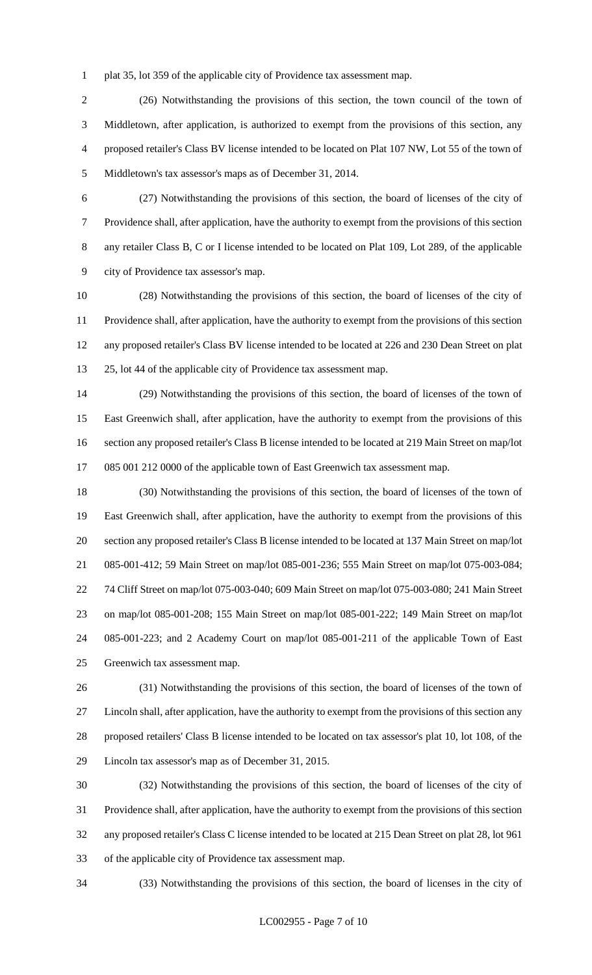plat 35, lot 359 of the applicable city of Providence tax assessment map.

 (26) Notwithstanding the provisions of this section, the town council of the town of Middletown, after application, is authorized to exempt from the provisions of this section, any proposed retailer's Class BV license intended to be located on Plat 107 NW, Lot 55 of the town of Middletown's tax assessor's maps as of December 31, 2014.

 (27) Notwithstanding the provisions of this section, the board of licenses of the city of Providence shall, after application, have the authority to exempt from the provisions of this section any retailer Class B, C or I license intended to be located on Plat 109, Lot 289, of the applicable city of Providence tax assessor's map.

 (28) Notwithstanding the provisions of this section, the board of licenses of the city of Providence shall, after application, have the authority to exempt from the provisions of this section any proposed retailer's Class BV license intended to be located at 226 and 230 Dean Street on plat 25, lot 44 of the applicable city of Providence tax assessment map.

 (29) Notwithstanding the provisions of this section, the board of licenses of the town of East Greenwich shall, after application, have the authority to exempt from the provisions of this section any proposed retailer's Class B license intended to be located at 219 Main Street on map/lot 085 001 212 0000 of the applicable town of East Greenwich tax assessment map.

 (30) Notwithstanding the provisions of this section, the board of licenses of the town of East Greenwich shall, after application, have the authority to exempt from the provisions of this section any proposed retailer's Class B license intended to be located at 137 Main Street on map/lot 085-001-412; 59 Main Street on map/lot 085-001-236; 555 Main Street on map/lot 075-003-084; 74 Cliff Street on map/lot 075-003-040; 609 Main Street on map/lot 075-003-080; 241 Main Street on map/lot 085-001-208; 155 Main Street on map/lot 085-001-222; 149 Main Street on map/lot 085-001-223; and 2 Academy Court on map/lot 085-001-211 of the applicable Town of East Greenwich tax assessment map.

 (31) Notwithstanding the provisions of this section, the board of licenses of the town of Lincoln shall, after application, have the authority to exempt from the provisions of this section any proposed retailers' Class B license intended to be located on tax assessor's plat 10, lot 108, of the Lincoln tax assessor's map as of December 31, 2015.

 (32) Notwithstanding the provisions of this section, the board of licenses of the city of Providence shall, after application, have the authority to exempt from the provisions of this section any proposed retailer's Class C license intended to be located at 215 Dean Street on plat 28, lot 961 of the applicable city of Providence tax assessment map.

(33) Notwithstanding the provisions of this section, the board of licenses in the city of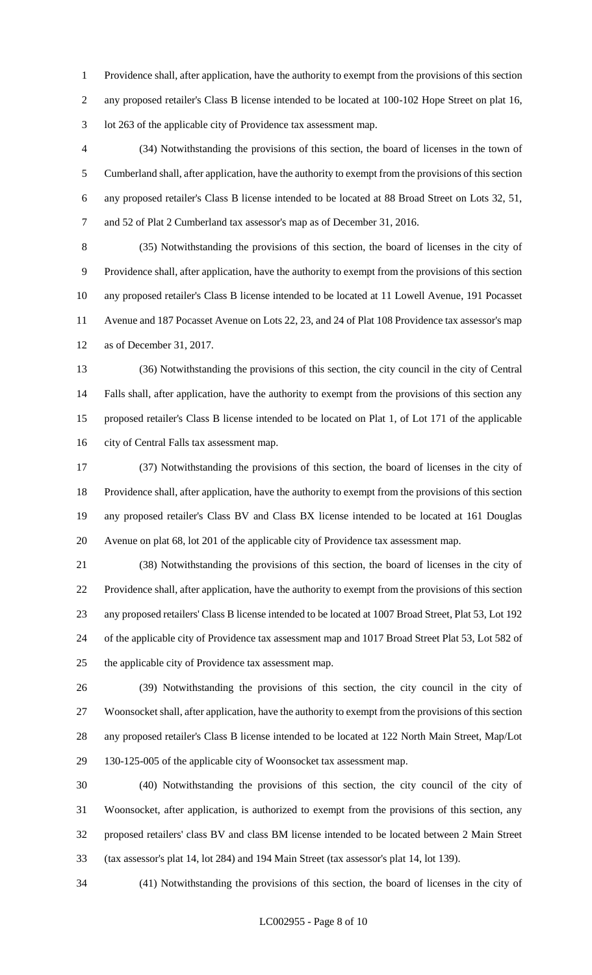Providence shall, after application, have the authority to exempt from the provisions of this section any proposed retailer's Class B license intended to be located at 100-102 Hope Street on plat 16, lot 263 of the applicable city of Providence tax assessment map.

 (34) Notwithstanding the provisions of this section, the board of licenses in the town of Cumberland shall, after application, have the authority to exempt from the provisions of this section any proposed retailer's Class B license intended to be located at 88 Broad Street on Lots 32, 51, and 52 of Plat 2 Cumberland tax assessor's map as of December 31, 2016.

 (35) Notwithstanding the provisions of this section, the board of licenses in the city of Providence shall, after application, have the authority to exempt from the provisions of this section any proposed retailer's Class B license intended to be located at 11 Lowell Avenue, 191 Pocasset Avenue and 187 Pocasset Avenue on Lots 22, 23, and 24 of Plat 108 Providence tax assessor's map as of December 31, 2017.

 (36) Notwithstanding the provisions of this section, the city council in the city of Central Falls shall, after application, have the authority to exempt from the provisions of this section any proposed retailer's Class B license intended to be located on Plat 1, of Lot 171 of the applicable city of Central Falls tax assessment map.

 (37) Notwithstanding the provisions of this section, the board of licenses in the city of Providence shall, after application, have the authority to exempt from the provisions of this section any proposed retailer's Class BV and Class BX license intended to be located at 161 Douglas Avenue on plat 68, lot 201 of the applicable city of Providence tax assessment map.

 (38) Notwithstanding the provisions of this section, the board of licenses in the city of Providence shall, after application, have the authority to exempt from the provisions of this section any proposed retailers' Class B license intended to be located at 1007 Broad Street, Plat 53, Lot 192 of the applicable city of Providence tax assessment map and 1017 Broad Street Plat 53, Lot 582 of the applicable city of Providence tax assessment map.

 (39) Notwithstanding the provisions of this section, the city council in the city of Woonsocket shall, after application, have the authority to exempt from the provisions of this section any proposed retailer's Class B license intended to be located at 122 North Main Street, Map/Lot 130-125-005 of the applicable city of Woonsocket tax assessment map.

 (40) Notwithstanding the provisions of this section, the city council of the city of Woonsocket, after application, is authorized to exempt from the provisions of this section, any proposed retailers' class BV and class BM license intended to be located between 2 Main Street (tax assessor's plat 14, lot 284) and 194 Main Street (tax assessor's plat 14, lot 139).

(41) Notwithstanding the provisions of this section, the board of licenses in the city of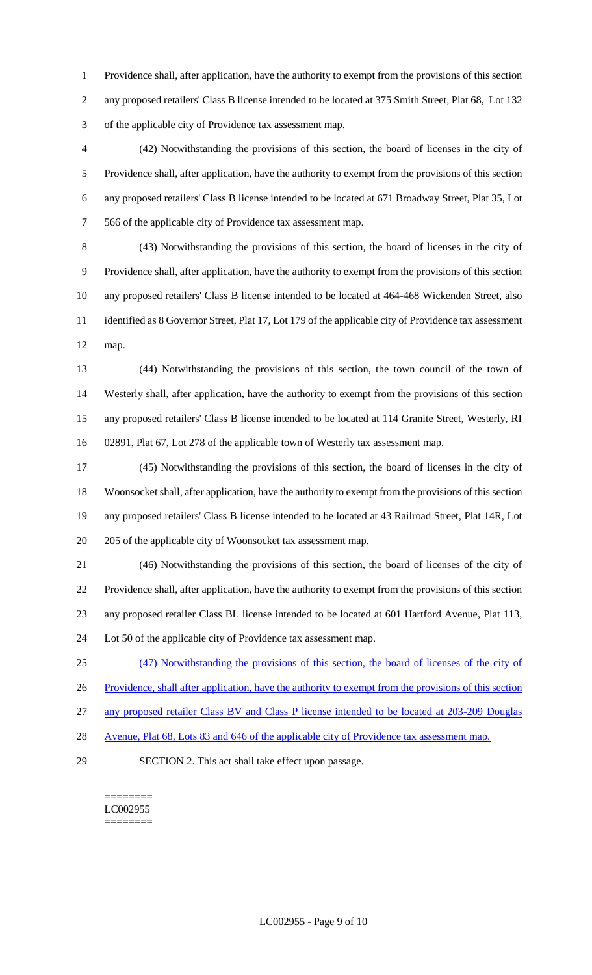Providence shall, after application, have the authority to exempt from the provisions of this section any proposed retailers' Class B license intended to be located at 375 Smith Street, Plat 68, Lot 132 of the applicable city of Providence tax assessment map.

 (42) Notwithstanding the provisions of this section, the board of licenses in the city of Providence shall, after application, have the authority to exempt from the provisions of this section any proposed retailers' Class B license intended to be located at 671 Broadway Street, Plat 35, Lot 566 of the applicable city of Providence tax assessment map.

 (43) Notwithstanding the provisions of this section, the board of licenses in the city of Providence shall, after application, have the authority to exempt from the provisions of this section any proposed retailers' Class B license intended to be located at 464-468 Wickenden Street, also identified as 8 Governor Street, Plat 17, Lot 179 of the applicable city of Providence tax assessment map.

 (44) Notwithstanding the provisions of this section, the town council of the town of Westerly shall, after application, have the authority to exempt from the provisions of this section any proposed retailers' Class B license intended to be located at 114 Granite Street, Westerly, RI 02891, Plat 67, Lot 278 of the applicable town of Westerly tax assessment map.

 (45) Notwithstanding the provisions of this section, the board of licenses in the city of Woonsocket shall, after application, have the authority to exempt from the provisions of this section any proposed retailers' Class B license intended to be located at 43 Railroad Street, Plat 14R, Lot 205 of the applicable city of Woonsocket tax assessment map.

 (46) Notwithstanding the provisions of this section, the board of licenses of the city of Providence shall, after application, have the authority to exempt from the provisions of this section any proposed retailer Class BL license intended to be located at 601 Hartford Avenue, Plat 113, Lot 50 of the applicable city of Providence tax assessment map.

(47) Notwithstanding the provisions of this section, the board of licenses of the city of

26 Providence, shall after application, have the authority to exempt from the provisions of this section

any proposed retailer Class BV and Class P license intended to be located at 203-209 Douglas

- 28 Avenue, Plat 68, Lots 83 and 646 of the applicable city of Providence tax assessment map.
- SECTION 2. This act shall take effect upon passage.

======== LC002955 ========